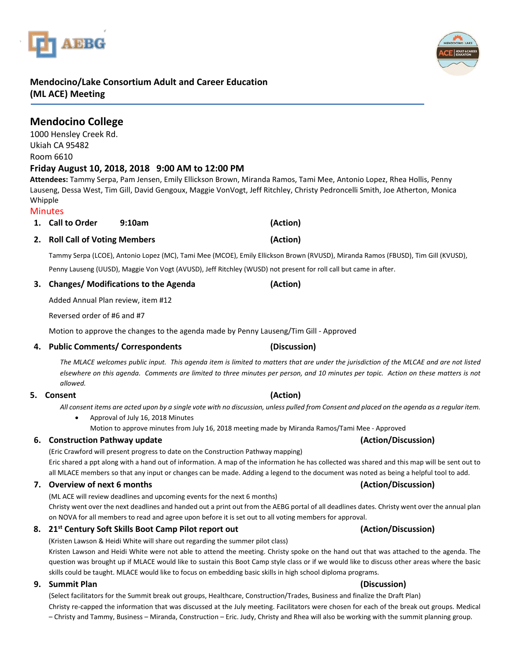# **Mendocino/Lake Consortium Adult and Career Education**

**(ML ACE) Meeting**

| <b>Mendocino College</b> |  |
|--------------------------|--|
| 1000 Hensley Creek Rd.   |  |
| Ukiah CA 95482           |  |
| Room 6610                |  |

### **Friday August 10, 2018, 2018 9:00 AM to 12:00 PM**

**Attendees:** Tammy Serpa, Pam Jensen, Emily Ellickson Brown, Miranda Ramos, Tami Mee, Antonio Lopez, Rhea Hollis, Penny Lauseng, Dessa West, Tim Gill, David Gengoux, Maggie VonVogt, Jeff Ritchley, Christy Pedroncelli Smith, Joe Atherton, Monica Whipple

#### **Minutes**

**1. Call to Order 9:10am (Action)**

## **2. Roll Call of Voting Members (Action)**

Tammy Serpa (LCOE), Antonio Lopez (MC), Tami Mee (MCOE), Emily Ellickson Brown (RVUSD), Miranda Ramos (FBUSD), Tim Gill (KVUSD), Penny Lauseng (UUSD), Maggie Von Vogt (AVUSD), Jeff Ritchley (WUSD) not present for roll call but came in after.

### **3. Changes/ Modifications to the Agenda (Action)**

Added Annual Plan review, item #12

Reversed order of #6 and #7

Motion to approve the changes to the agenda made by Penny Lauseng/Tim Gill - Approved

#### **4. Public Comments/ Correspondents (Discussion)**

*The MLACE welcomes public input. This agenda item is limited to matters that are under the jurisdiction of the MLCAE and are not listed elsewhere on this agenda. Comments are limited to three minutes per person, and 10 minutes per topic. Action on these matters is not allowed.*

#### **5. Consent (Action)**

*All consent items are acted upon by a single vote with no discussion, unless pulled from Consent and placed on the agenda as a regular item.* 

• Approval of July 16, 2018 Minutes

Motion to approve minutes from July 16, 2018 meeting made by Miranda Ramos/Tami Mee - Approved

### **6. Construction Pathway update (Action/Discussion)**

(Eric Crawford will present progress to date on the Construction Pathway mapping) Eric shared a ppt along with a hand out of information. A map of the information he has collected was shared and this map will be sent out to all MLACE members so that any input or changes can be made. Adding a legend to the document was noted as being a helpful tool to add.

#### **7. Overview of next 6 months (Action/Discussion)**

(ML ACE will review deadlines and upcoming events for the next 6 months)

Christy went over the next deadlines and handed out a print out from the AEBG portal of all deadlines dates. Christy went over the annual plan on NOVA for all members to read and agree upon before it is set out to all voting members for approval.

### **8. 21st Century Soft Skills Boot Camp Pilot report out (Action/Discussion)**

(Kristen Lawson & Heidi White will share out regarding the summer pilot class) Kristen Lawson and Heidi White were not able to attend the meeting. Christy spoke on the hand out that was attached to the agenda. The question was brought up if MLACE would like to sustain this Boot Camp style class or if we would like to discuss other areas where the basic skills could be taught. MLACE would like to focus on embedding basic skills in high school diploma programs.

### **9. Summit Plan (Discussion)**

(Select facilitators for the Summit break out groups, Healthcare, Construction/Trades, Business and finalize the Draft Plan) Christy re-capped the information that was discussed at the July meeting. Facilitators were chosen for each of the break out groups. Medical – Christy and Tammy, Business – Miranda, Construction – Eric. Judy, Christy and Rhea will also be working with the summit planning group.